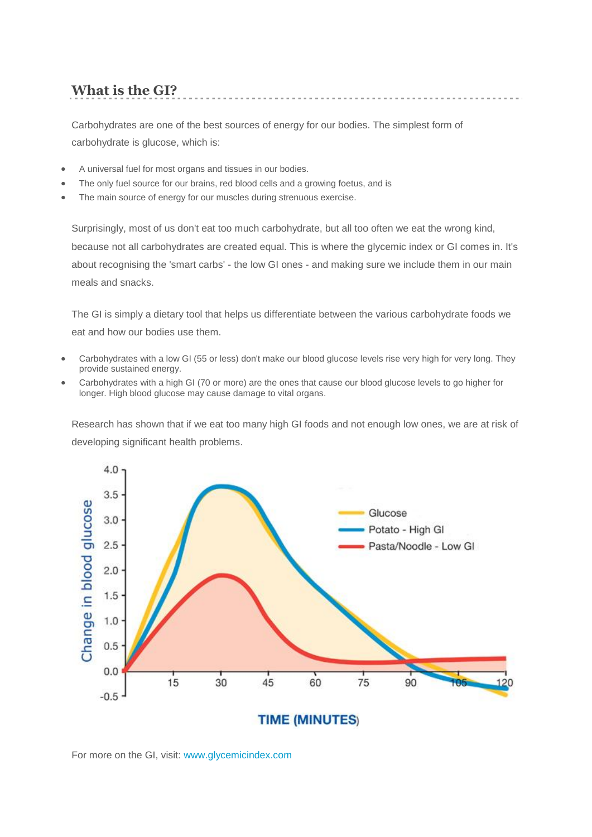# **What is the GI?**

Carbohydrates are one of the best sources of energy for our bodies. The simplest form of carbohydrate is glucose, which is:

- A universal fuel for most organs and tissues in our bodies.
- The only fuel source for our brains, red blood cells and a growing foetus, and is
- The main source of energy for our muscles during strenuous exercise.

Surprisingly, most of us don't eat too much carbohydrate, but all too often we eat the wrong kind, because not all carbohydrates are created equal. This is where the glycemic index or GI comes in. It's about recognising the 'smart carbs' - the low GI ones - and making sure we include them in our main meals and snacks.

The GI is simply a dietary tool that helps us differentiate between the various carbohydrate foods we eat and how our bodies use them.

- Carbohydrates with a low GI (55 or less) don't make our blood glucose levels rise very high for very long. They provide sustained energy.
- Carbohydrates with a high GI (70 or more) are the ones that cause our blood glucose levels to go higher for longer. High blood glucose may cause damage to vital organs.

Research has shown that if we eat too many high GI foods and not enough low ones, we are at risk of developing significant health problems.



For more on the GI, visit: [www.glycemicindex.com](http://www.glycemicindex.com/)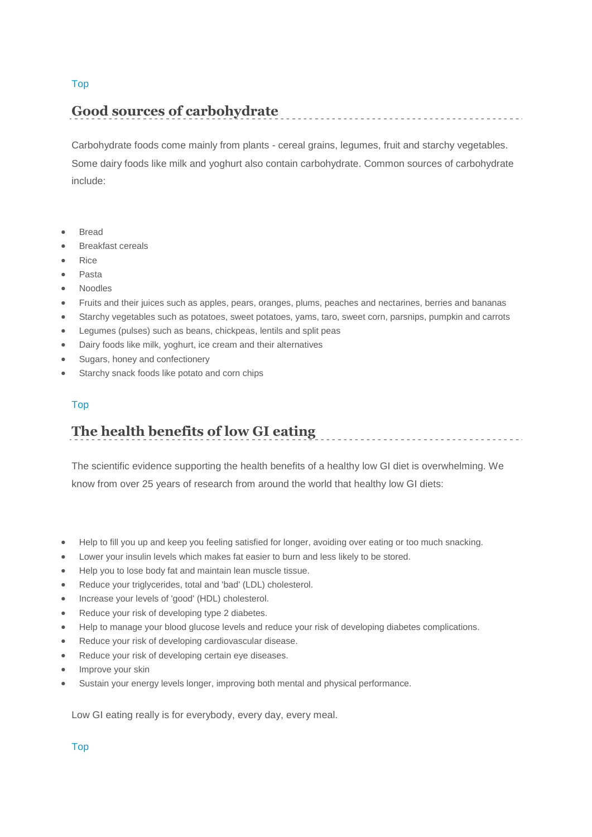#### [Top](http://www.gisymbol.com.au/using.htm#top)

### **Good sources of carbohydrate**

Carbohydrate foods come mainly from plants - cereal grains, legumes, fruit and starchy vegetables. Some dairy foods like milk and yoghurt also contain carbohydrate. Common sources of carbohydrate include:

- Bread
- Breakfast cereals
- Rice
- Pasta
- Noodles
- Fruits and their juices such as apples, pears, oranges, plums, peaches and nectarines, berries and bananas
- Starchy vegetables such as potatoes, sweet potatoes, yams, taro, sweet corn, parsnips, pumpkin and carrots
- Legumes (pulses) such as beans, chickpeas, lentils and split peas
- Dairy foods like milk, yoghurt, ice cream and their alternatives
- Sugars, honey and confectionery
- Starchy snack foods like potato and corn chips

#### [Top](http://www.gisymbol.com.au/using.htm#top)

## **The health benefits of low GI eating**

The scientific evidence supporting the health benefits of a healthy low GI diet is overwhelming. We know from over 25 years of research from around the world that healthy low GI diets:

- Help to fill you up and keep you feeling satisfied for longer, avoiding over eating or too much snacking.
- Lower your insulin levels which makes fat easier to burn and less likely to be stored.
- Help you to lose body fat and maintain lean muscle tissue.
- Reduce your triglycerides, total and 'bad' (LDL) cholesterol.
- Increase your levels of 'good' (HDL) cholesterol.
- Reduce your risk of developing type 2 diabetes.
- Help to manage your blood glucose levels and reduce your risk of developing diabetes complications.
- Reduce your risk of developing cardiovascular disease.
- Reduce your risk of developing certain eye diseases.
- Improve your skin
- Sustain your energy levels longer, improving both mental and physical performance.

Low GI eating really is for everybody, every day, every meal.

[Top](http://www.gisymbol.com.au/using.htm#top)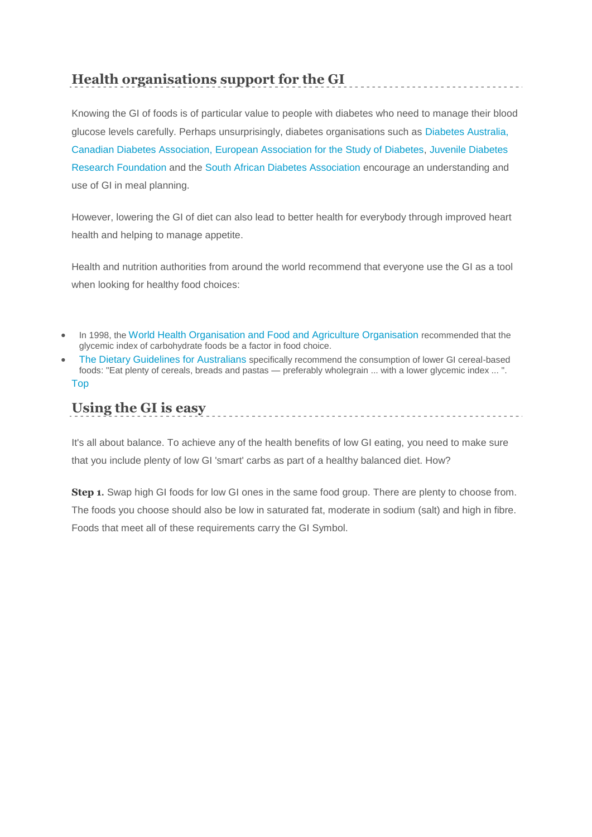## **Health organisations support for the GI**

Knowing the GI of foods is of particular value to people with diabetes who need to manage their blood glucose levels carefully. Perhaps unsurprisingly, diabetes organisations such as [Diabetes Australia,](http://www.diabetesnsw.com.au/)  Canadian Diabetes Association, [European Association for the Study of Diabetes,](http://www.ncbi.nlm.nih.gov/pubmed/10747363?ordinalpos=&itool=EntrezSystem2.PEntrez.Pubmed.Pubmed_ResultsPanel.SmartSearch&log$=citationsensor) [Juvenile Diabetes](http://www.jdrf.org.au/)  [Research Foundation](http://www.jdrf.org.au/) and the [South African Diabetes Association](http://home.intekom.com/buildlink/ips/sada/) encourage an understanding and use of GI in meal planning.

However, lowering the GI of diet can also lead to better health for everybody through improved heart health and helping to manage appetite.

Health and nutrition authorities from around the world recommend that everyone use the GI as a tool when looking for healthy food choices:

- In 1998, the [World Health Organisation and Food and Agriculture Organisation](http://www.fao.org/docrep/w8079e/w8079e00.htm) recommended that the glycemic index of carbohydrate foods be a factor in food choice.
- [The Dietary Guidelines for Australians](http://www.nhmrc.gov.au/publications/synopses/dietsyn.htm) specifically recommend the consumption of lower GI cereal-based foods: "Eat plenty of cereals, breads and pastas — preferably wholegrain ... with a lower glycemic index ... ". [Top](http://www.gisymbol.com.au/using.htm#top)

# **Using the GI is easy**

It's all about balance. To achieve any of the health benefits of low GI eating, you need to make sure that you include plenty of low GI 'smart' carbs as part of a healthy balanced diet. How?

**Step 1.** Swap high GI foods for low GI ones in the same food group. There are plenty to choose from. The foods you choose should also be low in saturated fat, moderate in sodium (salt) and high in fibre. Foods that meet all of these requirements carry the GI Symbol.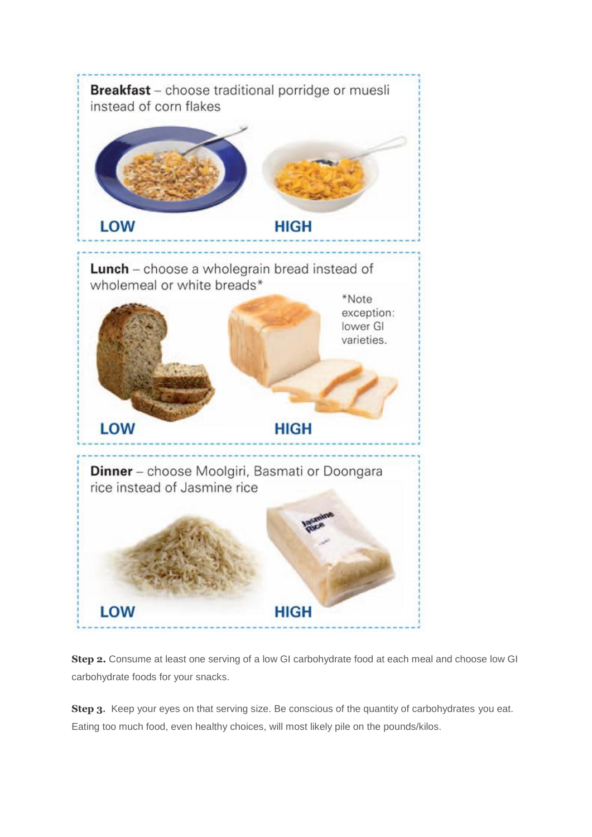

**Step 2.** Consume at least one serving of a low GI carbohydrate food at each meal and choose low GI carbohydrate foods for your snacks.

**Step 3.** Keep your eyes on that serving size. Be conscious of the quantity of carbohydrates you eat. Eating too much food, even healthy choices, will most likely pile on the pounds/kilos.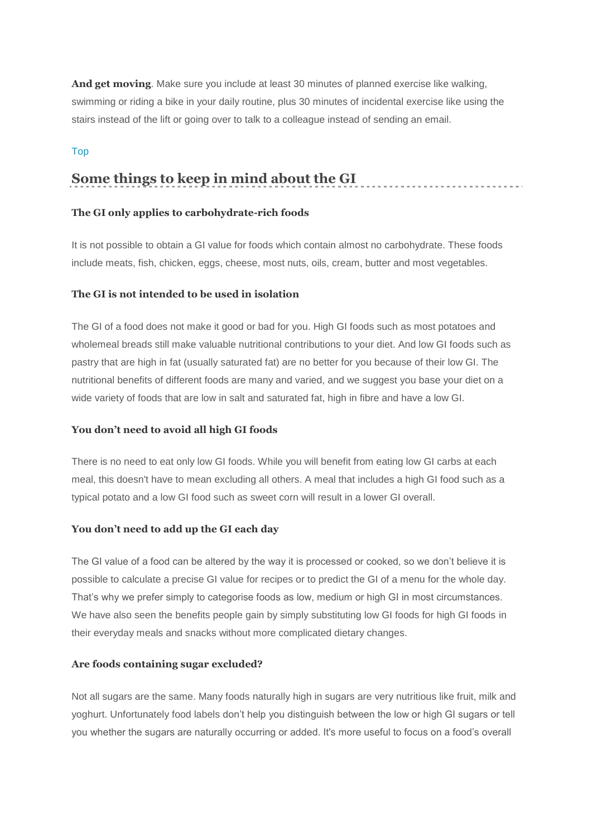**And get moving**. Make sure you include at least 30 minutes of planned exercise like walking, swimming or riding a bike in your daily routine, plus 30 minutes of incidental exercise like using the stairs instead of the lift or going over to talk to a colleague instead of sending an email.

#### [Top](http://www.gisymbol.com.au/using.htm#top)

### **Some things to keep in mind about the GI**

#### **The GI only applies to carbohydrate-rich foods**

It is not possible to obtain a GI value for foods which contain almost no carbohydrate. These foods include meats, fish, chicken, eggs, cheese, most nuts, oils, cream, butter and most vegetables.

#### **The GI is not intended to be used in isolation**

The GI of a food does not make it good or bad for you. High GI foods such as most potatoes and wholemeal breads still make valuable nutritional contributions to your diet. And low GI foods such as pastry that are high in fat (usually saturated fat) are no better for you because of their low GI. The nutritional benefits of different foods are many and varied, and we suggest you base your diet on a wide variety of foods that are low in salt and saturated fat, high in fibre and have a low GI.

#### **You don't need to avoid all high GI foods**

There is no need to eat only low GI foods. While you will benefit from eating low GI carbs at each meal, this doesn't have to mean excluding all others. A meal that includes a high GI food such as a typical potato and a low GI food such as sweet corn will result in a lower GI overall.

#### **You don't need to add up the GI each day**

The GI value of a food can be altered by the way it is processed or cooked, so we don't believe it is possible to calculate a precise GI value for recipes or to predict the GI of a menu for the whole day. That's why we prefer simply to categorise foods as low, medium or high GI in most circumstances. We have also seen the benefits people gain by simply substituting low GI foods for high GI foods in their everyday meals and snacks without more complicated dietary changes.

#### **Are foods containing sugar excluded?**

Not all sugars are the same. Many foods naturally high in sugars are very nutritious like fruit, milk and yoghurt. Unfortunately food labels don't help you distinguish between the low or high GI sugars or tell you whether the sugars are naturally occurring or added. It's more useful to focus on a food's overall